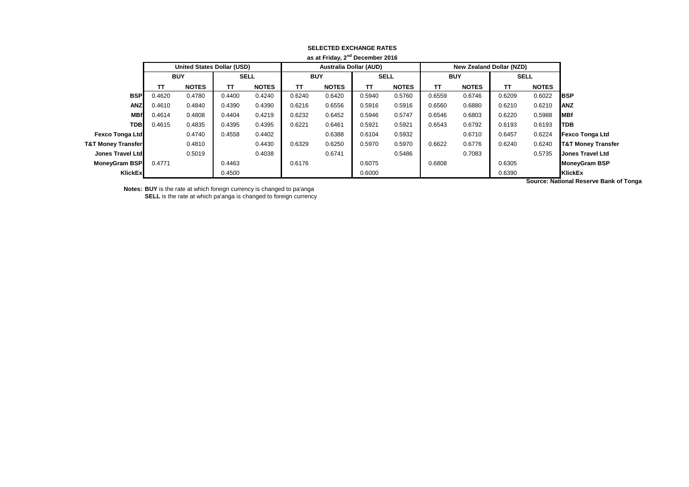| as at Friday, 2th December 2016 |            |                                   |             |              |                               |              |             |              |            |                                 |             |              |                               |
|---------------------------------|------------|-----------------------------------|-------------|--------------|-------------------------------|--------------|-------------|--------------|------------|---------------------------------|-------------|--------------|-------------------------------|
|                                 |            | <b>United States Dollar (USD)</b> |             |              | <b>Australia Dollar (AUD)</b> |              |             |              |            | <b>New Zealand Dollar (NZD)</b> |             |              |                               |
|                                 | <b>BUY</b> |                                   | <b>SELL</b> |              | <b>BUY</b>                    |              | <b>SELL</b> |              | <b>BUY</b> |                                 | <b>SELL</b> |              |                               |
|                                 | TΤ         | <b>NOTES</b>                      | TΤ          | <b>NOTES</b> | TΤ                            | <b>NOTES</b> | TΤ          | <b>NOTES</b> | ΤT         | <b>NOTES</b>                    | π           | <b>NOTES</b> |                               |
| <b>BSP</b>                      | 0.4620     | 0.4780                            | 0.4400      | 0.4240       | 0.6240                        | 0.6420       | 0.5940      | 0.5760       | 0.6559     | 0.6746                          | 0.6209      | 0.6022       | <b>BSP</b>                    |
| <b>ANZ</b>                      | 0.4610     | 0.4840                            | 0.4390      | 0.4390       | 0.6216                        | 0.6556       | 0.5916      | 0.5916       | 0.6560     | 0.6880                          | 0.6210      | 0.6210       | <b>IANZ</b>                   |
| <b>MBf</b>                      | 0.4614     | 0.4808                            | 0.4404      | 0.4219       | 0.6232                        | 0.6452       | 0.5946      | 0.5747       | 0.6546     | 0.6803                          | 0.6220      | 0.5988       | <b>MBf</b>                    |
| <b>TDB</b>                      | 0.4615     | 0.4835                            | 0.4395      | 0.4395       | 0.6221                        | 0.6461       | 0.5921      | 0.5921       | 0.6543     | 0.6792                          | 0.6193      | 0.6193       | <b>TDB</b>                    |
| <b>Fexco Tonga Ltd</b>          |            | 0.4740                            | 0.4558      | 0.4402       |                               | 0.6388       | 0.6104      | 0.5932       |            | 0.6710                          | 0.6457      | 0.6224       | <b>Fexco Tonga Ltd</b>        |
| <b>T&amp;T Money Transfer</b>   |            | 0.4810                            |             | 0.4430       | 0.6329                        | 0.6250       | 0.5970      | 0.5970       | 0.6622     | 0.6776                          | 0.6240      | 0.6240       | <b>T&amp;T Money Transfer</b> |
| Jones Travel Ltd                |            | 0.5019                            |             | 0.4038       |                               | 0.6741       |             | 0.5486       |            | 0.7083                          |             | 0.5735       | <b>Jones Travel Ltd</b>       |
| <b>MoneyGram BSP</b>            | 0.4771     |                                   | 0.4463      |              | 0.6176                        |              | 0.6075      |              | 0.6808     |                                 | 0.6305      |              | <b>MoneyGram BSP</b>          |
| KlickEx                         |            |                                   | 0.4500      |              |                               |              | 0.6000      |              |            |                                 | 0.6390      |              | <b>KlickEx</b>                |
|                                 |            |                                   |             |              |                               |              |             |              |            |                                 |             |              |                               |

## **SELECTED EXCHANGE RATES as at Friday, 2nd December 2016**

**Notes: BUY** is the rate at which foreign currency is changed to pa'anga

**SELL** is the rate at which pa'anga is changed to foreign currency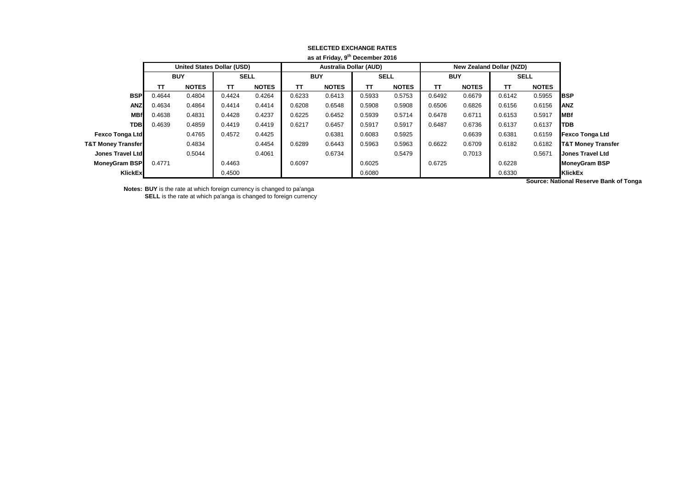| as at Friday, 9" December 2016 |            |                                   |             |              |                               |              |             |              |            |                                 |             |              |                               |
|--------------------------------|------------|-----------------------------------|-------------|--------------|-------------------------------|--------------|-------------|--------------|------------|---------------------------------|-------------|--------------|-------------------------------|
|                                |            | <b>United States Dollar (USD)</b> |             |              | <b>Australia Dollar (AUD)</b> |              |             |              |            | <b>New Zealand Dollar (NZD)</b> |             |              |                               |
|                                | <b>BUY</b> |                                   | <b>SELL</b> |              | <b>BUY</b>                    |              | <b>SELL</b> |              | <b>BUY</b> |                                 | <b>SELL</b> |              |                               |
|                                | TΤ         | <b>NOTES</b>                      | TΤ          | <b>NOTES</b> | TΤ                            | <b>NOTES</b> | TΤ          | <b>NOTES</b> | ΤT         | <b>NOTES</b>                    | π           | <b>NOTES</b> |                               |
| <b>BSP</b>                     | 0.4644     | 0.4804                            | 0.4424      | 0.4264       | 0.6233                        | 0.6413       | 0.5933      | 0.5753       | 0.6492     | 0.6679                          | 0.6142      | 0.5955       | <b>IBSP</b>                   |
| <b>ANZ</b>                     | 0.4634     | 0.4864                            | 0.4414      | 0.4414       | 0.6208                        | 0.6548       | 0.5908      | 0.5908       | 0.6506     | 0.6826                          | 0.6156      | 0.6156       | <b>ANZ</b>                    |
| <b>MBf</b>                     | 0.4638     | 0.4831                            | 0.4428      | 0.4237       | 0.6225                        | 0.6452       | 0.5939      | 0.5714       | 0.6478     | 0.6711                          | 0.6153      | 0.5917       | <b>MBf</b>                    |
| <b>TDB</b>                     | 0.4639     | 0.4859                            | 0.4419      | 0.4419       | 0.6217                        | 0.6457       | 0.5917      | 0.5917       | 0.6487     | 0.6736                          | 0.6137      | 0.6137       | <b>TDB</b>                    |
| <b>Fexco Tonga Ltd</b>         |            | 0.4765                            | 0.4572      | 0.4425       |                               | 0.6381       | 0.6083      | 0.5925       |            | 0.6639                          | 0.6381      | 0.6159       | <b>Fexco Tonga Ltd</b>        |
| <b>T&amp;T Money Transfer</b>  |            | 0.4834                            |             | 0.4454       | 0.6289                        | 0.6443       | 0.5963      | 0.5963       | 0.6622     | 0.6709                          | 0.6182      | 0.6182       | <b>T&amp;T Money Transfer</b> |
| Jones Travel Ltd               |            | 0.5044                            |             | 0.4061       |                               | 0.6734       |             | 0.5479       |            | 0.7013                          |             | 0.5671       | Jones Travel Ltd              |
| <b>MoneyGram BSP</b>           | 0.4771     |                                   | 0.4463      |              | 0.6097                        |              | 0.6025      |              | 0.6725     |                                 | 0.6228      |              | <b>MoneyGram BSP</b>          |
| KlickEx                        |            |                                   | 0.4500      |              |                               |              | 0.6080      |              |            |                                 | 0.6330      |              | <b>KlickEx</b>                |
|                                |            |                                   |             |              |                               |              |             |              |            |                                 |             |              | .                             |

## **SELECTED EXCHANGE RATES as at Friday, 9th December 2016**

**Notes: BUY** is the rate at which foreign currency is changed to pa'anga

**SELL** is the rate at which pa'anga is changed to foreign currency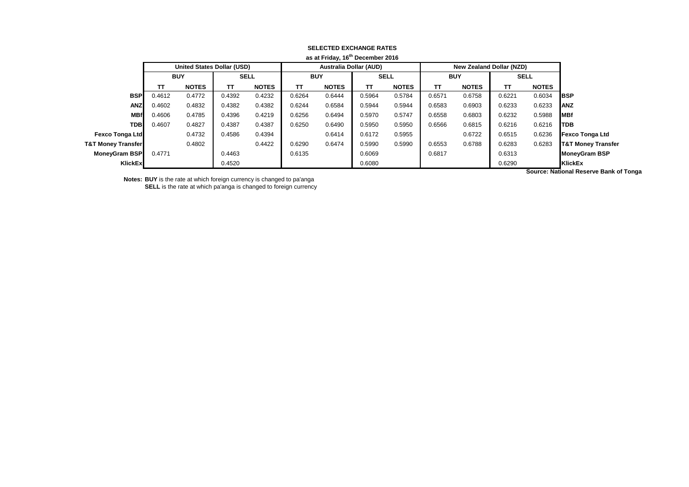| as at Friday, 16 <sup>th</sup> December 2016 |                                   |              |             |              |                               |              |             |              |            |                                 |             |              |                               |
|----------------------------------------------|-----------------------------------|--------------|-------------|--------------|-------------------------------|--------------|-------------|--------------|------------|---------------------------------|-------------|--------------|-------------------------------|
|                                              | <b>United States Dollar (USD)</b> |              |             |              | <b>Australia Dollar (AUD)</b> |              |             |              |            | <b>New Zealand Dollar (NZD)</b> |             |              |                               |
|                                              | <b>BUY</b>                        |              | <b>SELL</b> |              | <b>BUY</b>                    |              | <b>SELL</b> |              | <b>BUY</b> |                                 | <b>SELL</b> |              |                               |
|                                              | ΤТ                                | <b>NOTES</b> | тτ          | <b>NOTES</b> | TΤ                            | <b>NOTES</b> | TΤ          | <b>NOTES</b> | TΤ         | <b>NOTES</b>                    | π           | <b>NOTES</b> |                               |
| <b>BSP</b>                                   | 0.4612                            | 0.4772       | 0.4392      | 0.4232       | 0.6264                        | 0.6444       | 0.5964      | 0.5784       | 0.6571     | 0.6758                          | 0.6221      | 0.6034       | <b>IBSP</b>                   |
| <b>ANZ</b>                                   | 0.4602                            | 0.4832       | 0.4382      | 0.4382       | 0.6244                        | 0.6584       | 0.5944      | 0.5944       | 0.6583     | 0.6903                          | 0.6233      | 0.6233       | <b>IANZ</b>                   |
| <b>MBf</b>                                   | 0.4606                            | 0.4785       | 0.4396      | 0.4219       | 0.6256                        | 0.6494       | 0.5970      | 0.5747       | 0.6558     | 0.6803                          | 0.6232      | 0.5988       | <b>IMBf</b>                   |
| <b>TDB</b>                                   | 0.4607                            | 0.4827       | 0.4387      | 0.4387       | 0.6250                        | 0.6490       | 0.5950      | 0.5950       | 0.6566     | 0.6815                          | 0.6216      | 0.6216       | <b>ITDB</b>                   |
| <b>Fexco Tonga Ltd</b>                       |                                   | 0.4732       | 0.4586      | 0.4394       |                               | 0.6414       | 0.6172      | 0.5955       |            | 0.6722                          | 0.6515      | 0.6236       | Fexco Tonga Ltd               |
| <b>T&amp;T Money Transfer</b>                |                                   | 0.4802       |             | 0.4422       | 0.6290                        | 0.6474       | 0.5990      | 0.5990       | 0.6553     | 0.6788                          | 0.6283      | 0.6283       | <b>T&amp;T Money Transfer</b> |
| <b>MoneyGram BSP</b>                         | 0.4771                            |              | 0.4463      |              | 0.6135                        |              | 0.6069      |              | 0.6817     |                                 | 0.6313      |              | <b>MoneyGram BSP</b>          |
| <b>KlickEx</b>                               |                                   |              | 0.4520      |              |                               |              | 0.6080      |              |            |                                 | 0.6290      |              | <b>KlickEx</b><br>.           |

## **SELECTED EXCHANGE RATES**

**Notes: BUY** is the rate at which foreign currency is changed to pa'anga

**SELL** is the rate at which pa'anga is changed to foreign currency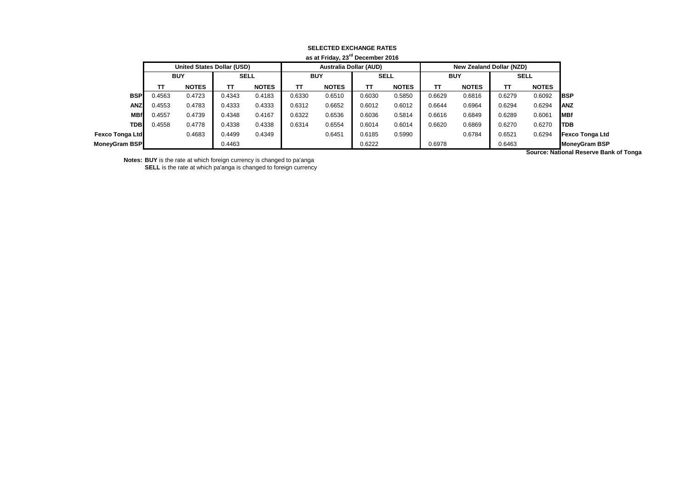|                        | as at Friday, 23 <sup>rd</sup> December 2016 |                                   |        |              |                               |              |             |              |                          |              |             |              |                        |
|------------------------|----------------------------------------------|-----------------------------------|--------|--------------|-------------------------------|--------------|-------------|--------------|--------------------------|--------------|-------------|--------------|------------------------|
|                        |                                              | <b>United States Dollar (USD)</b> |        |              | <b>Australia Dollar (AUD)</b> |              |             |              | New Zealand Dollar (NZD) |              |             |              |                        |
|                        | <b>BUY</b>                                   |                                   | SELL   |              | <b>BUY</b>                    |              | <b>SELL</b> |              | <b>BUY</b>               |              | <b>SELL</b> |              |                        |
|                        | ΤТ                                           | <b>NOTES</b>                      | ТΤ     | <b>NOTES</b> | тτ                            | <b>NOTES</b> | TΤ          | <b>NOTES</b> | TΤ                       | <b>NOTES</b> | TΤ          | <b>NOTES</b> |                        |
| <b>BSP</b>             | 0.4563                                       | 0.4723                            | 0.4343 | 0.4183       | 0.6330                        | 0.6510       | 0.6030      | 0.5850       | 0.6629                   | 0.6816       | 0.6279      | 0.6092       | <b>IBSP</b>            |
| <b>ANZ</b>             | 0.4553                                       | 0.4783                            | 0.4333 | 0.4333       | 0.6312                        | 0.6652       | 0.6012      | 0.6012       | 0.6644                   | 0.6964       | 0.6294      | 0.6294       | <b>ANZ</b>             |
| <b>MBf</b>             | 0.4557                                       | 0.4739                            | 0.4348 | 0.4167       | 0.6322                        | 0.6536       | 0.6036      | 0.5814       | 0.6616                   | 0.6849       | 0.6289      | 0.6061       | <b>MBf</b>             |
| <b>TDBI</b>            | 0.4558                                       | 0.4778                            | 0.4338 | 0.4338       | 0.6314                        | 0.6554       | 0.6014      | 0.6014       | 0.6620                   | 0.6869       | 0.6270      | 0.6270       | <b>TDB</b>             |
| <b>Fexco Tonga Ltd</b> |                                              | 0.4683                            | 0.4499 | 0.4349       |                               | 0.6451       | 0.6185      | 0.5990       |                          | 0.6784       | 0.6521      | 0.6294       | <b>Fexco Tonga Ltd</b> |
| <b>MoneyGram BSP</b>   |                                              |                                   | 0.4463 |              |                               |              | 0.6222      |              | 0.6978                   |              | 0.6463      |              | <b>MoneyGram BSP</b>   |

# **SELECTED EXCHANGE RATES**

**Notes: BUY** is the rate at which foreign currency is changed to pa'anga **SELL** is the rate at which pa'anga is changed to foreign currency